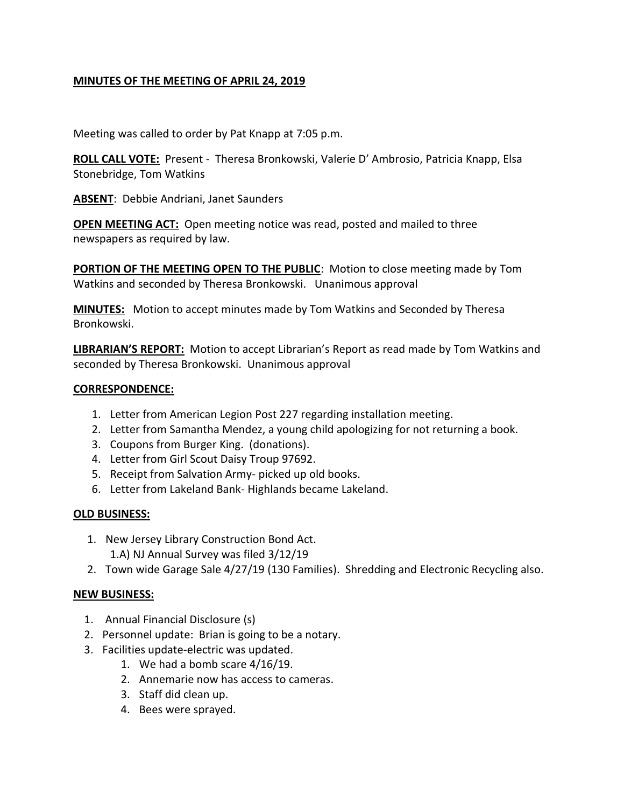#### **MINUTES OF THE MEETING OF APRIL 24, 2019**

Meeting was called to order by Pat Knapp at 7:05 p.m.

**ROLL CALL VOTE:** Present - Theresa Bronkowski, Valerie D' Ambrosio, Patricia Knapp, Elsa Stonebridge, Tom Watkins

**ABSENT**: Debbie Andriani, Janet Saunders

**OPEN MEETING ACT:** Open meeting notice was read, posted and mailed to three newspapers as required by law.

**PORTION OF THE MEETING OPEN TO THE PUBLIC:** Motion to close meeting made by Tom Watkins and seconded by Theresa Bronkowski. Unanimous approval

**MINUTES:** Motion to accept minutes made by Tom Watkins and Seconded by Theresa Bronkowski.

**LIBRARIAN'S REPORT:** Motion to accept Librarian's Report as read made by Tom Watkins and seconded by Theresa Bronkowski. Unanimous approval

#### **CORRESPONDENCE:**

- 1. Letter from American Legion Post 227 regarding installation meeting.
- 2. Letter from Samantha Mendez, a young child apologizing for not returning a book.
- 3. Coupons from Burger King. (donations).
- 4. Letter from Girl Scout Daisy Troup 97692.
- 5. Receipt from Salvation Army- picked up old books.
- 6. Letter from Lakeland Bank- Highlands became Lakeland.

#### **OLD BUSINESS:**

- 1. New Jersey Library Construction Bond Act. 1.A) NJ Annual Survey was filed 3/12/19
- 2. Town wide Garage Sale 4/27/19 (130 Families). Shredding and Electronic Recycling also.

#### **NEW BUSINESS:**

- 1. Annual Financial Disclosure (s)
- 2. Personnel update: Brian is going to be a notary.
- 3. Facilities update-electric was updated.
	- 1. We had a bomb scare 4/16/19.
		- 2. Annemarie now has access to cameras.
	- 3. Staff did clean up.
	- 4. Bees were sprayed.